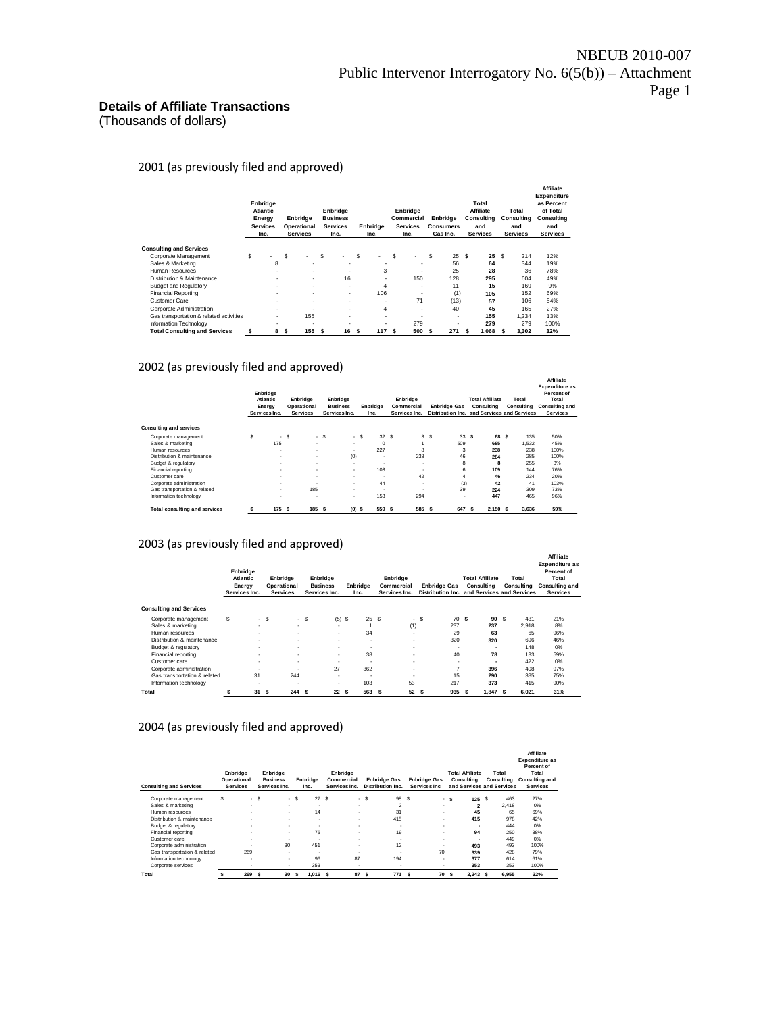### **Details of Affiliate Transactions**

(Thousands of dollars)

2001 (as previously filed and approved)

|                                         |    | Enbridge<br><b>Atlantic</b><br>Energy<br><b>Services</b><br>Inc. | Enbridge<br>Operational<br><b>Services</b> |     | Enbridge<br><b>Business</b><br><b>Services</b><br>Inc. |   | Enbridge<br>Inc.         |    | Enbridge<br>Commercial<br><b>Services</b><br>Inc. |   | Enbridge<br><b>Consumers</b><br>Gas Inc. |   | Total<br><b>Affiliate</b><br>Consulting<br>and<br><b>Services</b> |   | Total<br>Consultina<br>and<br><b>Services</b> | <b>Affiliate</b><br>Expenditure<br>as Percent<br>of Total<br>Consulting<br>and<br><b>Services</b> |
|-----------------------------------------|----|------------------------------------------------------------------|--------------------------------------------|-----|--------------------------------------------------------|---|--------------------------|----|---------------------------------------------------|---|------------------------------------------|---|-------------------------------------------------------------------|---|-----------------------------------------------|---------------------------------------------------------------------------------------------------|
| <b>Consulting and Services</b>          |    |                                                                  |                                            |     |                                                        |   |                          |    |                                                   |   |                                          |   |                                                                   |   |                                               |                                                                                                   |
| Corporate Management                    | \$ |                                                                  | \$                                         | s   |                                                        | s | $\overline{\phantom{a}}$ | \$ | ٠                                                 | s | 25                                       | s | 25                                                                | s | 214                                           | 12%                                                                                               |
| Sales & Marketing                       |    | 8                                                                |                                            |     | ۰                                                      |   | ۰                        |    | ۰                                                 |   | 56                                       |   | 64                                                                |   | 344                                           | 19%                                                                                               |
| <b>Human Resources</b>                  |    | $\overline{\phantom{a}}$                                         | ۰                                          |     | $\overline{\phantom{a}}$                               |   | 3                        |    | ۰.                                                |   | 25                                       |   | 28                                                                |   | 36                                            | 78%                                                                                               |
| Distribution & Maintenance              |    | ۰                                                                | $\overline{\phantom{a}}$                   |     | 16                                                     |   | ۰                        |    | 150                                               |   | 128                                      |   | 295                                                               |   | 604                                           | 49%                                                                                               |
| <b>Budget and Regulatory</b>            |    | ۰                                                                | $\overline{\phantom{a}}$                   |     | $\overline{\phantom{a}}$                               |   | 4                        |    | ۰.                                                |   | 11                                       |   | 15                                                                |   | 169                                           | 9%                                                                                                |
| <b>Financial Reporting</b>              |    | ۰                                                                | $\overline{\phantom{a}}$                   |     | ٠                                                      |   | 106                      |    | ۰.                                                |   | (1)                                      |   | 105                                                               |   | 152                                           | 69%                                                                                               |
| <b>Customer Care</b>                    |    | $\overline{\phantom{a}}$                                         | ۰                                          |     | ٠                                                      |   | ۰                        |    | 71                                                |   | (13)                                     |   | 57                                                                |   | 106                                           | 54%                                                                                               |
| Corporate Administration                |    | $\overline{\phantom{a}}$                                         | <b>.</b>                                   |     | ٠                                                      |   | $\overline{4}$           |    | ٠                                                 |   | 40                                       |   | 45                                                                |   | 165                                           | 27%                                                                                               |
| Gas transportation & related activities |    | ۰                                                                | 155                                        |     | ٠                                                      |   | ٠                        |    | ۰.                                                |   | $\overline{\phantom{a}}$                 |   | 155                                                               |   | 1.234                                         | 13%                                                                                               |
| Information Technology                  |    | ۰                                                                |                                            |     | ٠                                                      |   | ۰                        |    | 279                                               |   | <b>.</b>                                 |   | 279                                                               |   | 279                                           | 100%                                                                                              |
| <b>Total Consulting and Services</b>    | s  | 8                                                                | \$<br>155                                  | \$. | 16                                                     | S | 117                      | s  | 500                                               | s | 271                                      | s | 1.068                                                             | s | 3.302                                         | 32%                                                                                               |

2002 (as previously filed and approved)

|                                      |   | Enbridge<br>Atlantic<br>Energy<br>Services Inc. |    | Enbridge<br>Operational<br><b>Services</b> |       | Enbridge<br><b>Business</b><br>Services Inc. |     | Enbridge<br>Inc.         |    | Enbridge<br>Commercial<br>Services Inc. |    | <b>Enbridge Gas</b><br>Distribution Inc. and Services and Services |     | <b>Total Affiliate</b><br>Consulting |   | Total<br>Consulting | Affiliate<br><b>Expenditure as</b><br>Percent of<br>Total<br><b>Consulting and</b><br><b>Services</b> |  |
|--------------------------------------|---|-------------------------------------------------|----|--------------------------------------------|-------|----------------------------------------------|-----|--------------------------|----|-----------------------------------------|----|--------------------------------------------------------------------|-----|--------------------------------------|---|---------------------|-------------------------------------------------------------------------------------------------------|--|
| <b>Consulting and services</b>       |   |                                                 |    |                                            |       |                                              |     |                          |    |                                         |    |                                                                    |     |                                      |   |                     |                                                                                                       |  |
| Corporate management                 | Ŝ | ٠.                                              | s  |                                            | $-$ S |                                              | - S | 32S                      |    |                                         | 3S | 33                                                                 | s   | 68                                   | s | 135                 | 50%                                                                                                   |  |
| Sales & marketing                    |   | 175                                             |    | ×.                                         |       | $\mathbf{r}$                                 |     | $\Omega$                 |    |                                         |    | 509                                                                |     | 685                                  |   | 1.532               | 45%                                                                                                   |  |
| Human resources                      |   | ٠                                               |    | ۰.                                         |       | $\mathbf{r}$                                 |     | 227                      |    | R                                       |    | 3                                                                  |     | 238                                  |   | 238                 | 100%                                                                                                  |  |
| Distribution & maintenance           |   | ٠                                               |    | ×.                                         |       | (0)                                          |     | $\overline{\phantom{a}}$ |    | 238                                     |    | 46                                                                 |     | 284                                  |   | 285                 | 100%                                                                                                  |  |
| Budget & regulatory                  |   | ٠                                               |    | ×.                                         |       | $\mathbf{r}$                                 |     | ٠                        |    | ٠                                       |    | 8                                                                  |     | 8                                    |   | 255                 | 3%                                                                                                    |  |
| Financial reporting                  |   | ٠                                               |    | ٠                                          |       | $\mathbf{r}$                                 |     | 103                      |    | ٠                                       |    | 6                                                                  |     | 109                                  |   | 144                 | 76%                                                                                                   |  |
| Customer care                        |   | ٠                                               |    | ۰.                                         |       | $\mathbf{r}$                                 |     | ×                        |    | 42                                      |    | 4                                                                  |     | 46                                   |   | 234                 | 20%                                                                                                   |  |
| Corporate administration             |   | ٠                                               |    | ٠                                          |       | $\mathbf{r}$                                 |     | 44                       |    | ٠                                       |    | (3)                                                                |     | 42                                   |   | 41                  | 103%                                                                                                  |  |
| Gas transportation & related         |   | ٠                                               |    | 185                                        |       | $\mathbf{r}$                                 |     | ٠                        |    |                                         |    | 39                                                                 |     | 224                                  |   | 309                 | 73%                                                                                                   |  |
| Information technology               |   | ٠                                               |    | ٠                                          |       | $\overline{\phantom{a}}$                     |     | 153                      |    | 294                                     |    | ٠                                                                  |     | 447                                  |   | 465                 | 96%                                                                                                   |  |
| <b>Total consulting and services</b> |   | 175                                             | -S | 185                                        | s     | $(0)$ \$                                     |     | 559                      | -S | 585                                     | -S | 647                                                                | \$. | 2.150                                | s | 3,636               | 59%                                                                                                   |  |

#### 2003 (as previously filed and approved)

|                                | Enbridge<br>Atlantic<br>Energy<br>Services Inc. |        |      | Enbridge<br>Operational<br><b>Services</b> |    | Enbridge<br><b>Business</b><br>Services Inc. |    | Enbridge<br>Inc. |   | Enbridge<br>Commercial<br>Services Inc. | <b>Enbridge Gas</b><br>Distribution Inc. and Services and Services |   | <b>Total Affiliate</b><br>Consulting | Total<br>Consulting | Affiliate<br><b>Expenditure as</b><br>Percent of<br>Total<br>Consulting and<br><b>Services</b> |
|--------------------------------|-------------------------------------------------|--------|------|--------------------------------------------|----|----------------------------------------------|----|------------------|---|-----------------------------------------|--------------------------------------------------------------------|---|--------------------------------------|---------------------|------------------------------------------------------------------------------------------------|
| <b>Consulting and Services</b> |                                                 |        |      |                                            |    |                                              |    |                  |   |                                         |                                                                    |   |                                      |                     |                                                                                                |
|                                | s                                               |        |      |                                            |    |                                              |    |                  |   |                                         | 70 S                                                               |   | 90S                                  | 431                 | 21%                                                                                            |
| Corporate management           |                                                 | ٠.     | $-5$ | ٠                                          | s  | (5)                                          | s. | 25S              |   | $-$ \$                                  | 237                                                                |   | 237                                  | 2.918               | 8%                                                                                             |
| Sales & marketing              |                                                 |        |      | $\overline{\phantom{a}}$                   |    | ۰                                            |    |                  |   | (1)                                     |                                                                    |   |                                      |                     |                                                                                                |
| Human resources                |                                                 | $\sim$ |      | $\overline{\phantom{a}}$                   |    | $\overline{\phantom{a}}$                     |    | 34               |   | $\blacksquare$                          | 29                                                                 |   | 63                                   | 65                  | 96%                                                                                            |
| Distribution & maintenance     |                                                 | ٠      |      | ۰                                          |    | $\overline{\phantom{a}}$                     |    | ٠                |   | ٠                                       | 320                                                                |   | 320                                  | 696                 | 46%                                                                                            |
| Budget & regulatory            |                                                 | ٠      |      | ۰                                          |    | ۰                                            |    | ۰                |   | $\blacksquare$                          | $\overline{\phantom{a}}$                                           |   | ۰                                    | 148                 | 0%                                                                                             |
| Financial reporting            |                                                 | $\sim$ |      | $\overline{\phantom{a}}$                   |    | $\overline{\phantom{a}}$                     |    | 38               |   | $\overline{\phantom{a}}$                | 40                                                                 |   | 78                                   | 133                 | 59%                                                                                            |
| Customer care                  |                                                 | ٠      |      | ٠                                          |    | ۰                                            |    | $\blacksquare$   |   | $\blacksquare$                          | ٠                                                                  |   | ۰                                    | 422                 | 0%                                                                                             |
| Corporate administration       |                                                 | ٠      |      |                                            |    | 27                                           |    | 362              |   | $\blacksquare$                          | 7                                                                  |   | 396                                  | 408                 | 97%                                                                                            |
| Gas transportation & related   |                                                 | 31     |      | 244                                        |    | ٠                                            |    | ٠                |   | ٠                                       | 15                                                                 |   | 290                                  | 385                 | 75%                                                                                            |
| Information technology         |                                                 | ٠      |      | ٠                                          |    | ۰                                            |    | 103              |   | 53                                      | 217                                                                |   | 373                                  | 415                 | 90%                                                                                            |
| Total                          |                                                 | 31     | s    | 244                                        | -S | 22                                           | s  | 563              | s | 52                                      | 935<br>s                                                           | s | 1.847                                | 6.021               | 31%                                                                                            |

#### 2004 (as previously filed and approved)

| <b>Consulting and Services</b> | Enbridge<br>Operational<br><b>Services</b> | Enbridge<br><b>Business</b><br>Services Inc. |        | Enbridge<br>Inc. | Enbridge<br>Commercial<br>Services Inc. |       | <b>Enbridge Gas</b><br>Distribution Inc. | <b>Enbridge Gas</b><br>Services Inc. | <b>Total Affiliate</b><br>Consulting | Total<br>Consulting<br>and Services and Services | <b>Affiliate</b><br><b>Expenditure as</b><br>Percent of<br>Total<br>Consulting and<br><b>Services</b> |
|--------------------------------|--------------------------------------------|----------------------------------------------|--------|------------------|-----------------------------------------|-------|------------------------------------------|--------------------------------------|--------------------------------------|--------------------------------------------------|-------------------------------------------------------------------------------------------------------|
| Corporate management           | s<br>۰.                                    | -S                                           | $-$ \$ | 27               | <sub>S</sub>                            | $-$ S | 98                                       | - S                                  | 125<br>- \$                          | 463<br><b>S</b>                                  | 27%                                                                                                   |
| Sales & marketing              |                                            |                                              | ×.     |                  | ×.                                      |       | $\overline{2}$                           | ۰                                    | 2                                    | 2.418                                            | 0%                                                                                                    |
| Human resources                | ٠                                          |                                              | ×.     | 14               | ٠                                       |       | 31                                       | ۰                                    | 45                                   | 65                                               | 69%                                                                                                   |
| Distribution & maintenance     | ٠                                          | ٠                                            |        | ٠                | ×.                                      |       | 415                                      | ۰                                    | 415                                  | 978                                              | 42%                                                                                                   |
| Budget & regulatory            | ٠                                          | ٠                                            |        | ٠                | ٠                                       |       | -                                        | ۰                                    |                                      | 444                                              | 0%                                                                                                    |
| Financial reporting            | ٠                                          |                                              | ×.     | 75               | ٠                                       |       | 19                                       | ۰                                    | 94                                   | 250                                              | 38%                                                                                                   |
| Customer care                  | ٠                                          | $\sim$                                       |        |                  | ٠                                       |       |                                          | ۰                                    | ۰.                                   | 449                                              | 0%                                                                                                    |
| Corporate administration       |                                            | 30                                           |        | 451              | ٠                                       |       | 12                                       | ۰                                    | 493                                  | 493                                              | 100%                                                                                                  |
| Gas transportation & related   | 269                                        | ٠                                            |        | ٠                | ٠                                       |       | -                                        | 70                                   | 339                                  | 428                                              | 79%                                                                                                   |
| Information technology         | ٠                                          | ٠                                            |        | 96               | 87                                      |       | 194                                      | ۰                                    | 377                                  | 614                                              | 61%                                                                                                   |
| Corporate services             | ٠                                          | ٠                                            |        | 353              | ٠                                       |       |                                          | ۰                                    | 353                                  | 353                                              | 100%                                                                                                  |
| Total                          | 269                                        | 30<br>s                                      | ŝ.     | 1.016            | 87<br>\$                                | s     | 771                                      | 70<br>- S                            | $2,243$ \$<br>-S                     | 6,955                                            | 32%                                                                                                   |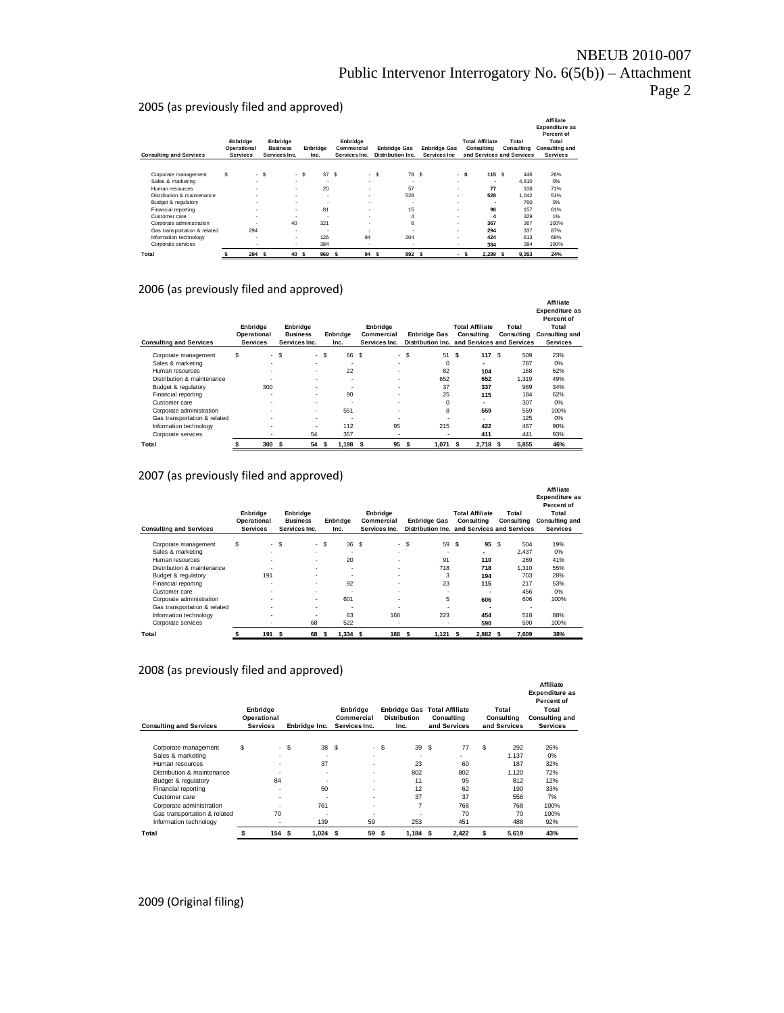### 2005 (as previously filed and approved)

| <b>Consulting and Services</b> |   | Enbridge<br>Operational<br><b>Services</b> |      | Enbridge<br><b>Business</b><br>Services Inc. |       | Enbridge<br>Inc.         | Enbridge<br>Commercial<br>Services Inc. |                          |      | <b>Enbridge Gas</b><br>Distribution Inc. | <b>Enbridge Gas</b><br>Services Inc |   |      | <b>Total Affiliate</b><br>Consulting | Total<br>Consulting<br>and Services and Services | Affiliate<br><b>Expenditure as</b><br>Percent of<br>Total<br><b>Consulting and</b><br><b>Services</b> |
|--------------------------------|---|--------------------------------------------|------|----------------------------------------------|-------|--------------------------|-----------------------------------------|--------------------------|------|------------------------------------------|-------------------------------------|---|------|--------------------------------------|--------------------------------------------------|-------------------------------------------------------------------------------------------------------|
|                                |   |                                            |      |                                              |       |                          |                                         |                          |      |                                          |                                     |   |      |                                      |                                                  |                                                                                                       |
| Corporate management           | s |                                            | - \$ |                                              | $-$ S | 37S                      |                                         |                          | - \$ | 78 S                                     |                                     |   | - \$ | 115S                                 | 446                                              | 26%                                                                                                   |
| Sales & marketing              |   | ٠                                          |      | $\sim$                                       |       | $\overline{\phantom{a}}$ |                                         | $\overline{\phantom{a}}$ |      | $\overline{\phantom{a}}$                 |                                     | ۰ |      | ٠                                    | 4.810                                            | 0%                                                                                                    |
| Human resources                |   | ٠                                          |      | $\sim$                                       |       | 20                       |                                         | $\overline{\phantom{a}}$ |      | 57                                       |                                     | ٠ |      | 77                                   | 108                                              | 71%                                                                                                   |
| Distribution & maintenance     |   | ٠                                          |      | ٠                                            |       | $\blacksquare$           |                                         | $\overline{\phantom{a}}$ |      | 528                                      |                                     | ٠ |      | 528                                  | 1.042                                            | 51%                                                                                                   |
| Budget & regulatory            |   | ٠                                          |      | $\sim$                                       |       | $\blacksquare$           |                                         | $\overline{\phantom{a}}$ |      | $\sim$                                   |                                     | ٠ |      | $\overline{\phantom{a}}$             | 760                                              | 0%                                                                                                    |
| Financial reporting            |   | ٠                                          |      | ٠                                            |       | 81                       |                                         | $\overline{\phantom{a}}$ |      | 15                                       |                                     | ٠ |      | 96                                   | 157                                              | 61%                                                                                                   |
| Customer care                  |   | ٠                                          |      | $\sim$                                       |       | ٠                        |                                         | $\overline{\phantom{a}}$ |      | $\overline{4}$                           |                                     | ۰ |      | 4                                    | 329                                              | 1%                                                                                                    |
| Corporate administration       |   |                                            |      | 40                                           |       | 321                      |                                         | $\overline{\phantom{a}}$ |      | 6                                        |                                     | ۰ |      | 367                                  | 367                                              | 100%                                                                                                  |
| Gas transportation & related   |   | 294                                        |      | $\blacksquare$                               |       | $\overline{\phantom{a}}$ |                                         | $\overline{\phantom{a}}$ |      | ٠                                        |                                     | ٠ |      | 294                                  | 337                                              | 87%                                                                                                   |
| Information technology         |   | $\overline{\phantom{a}}$                   |      | ٠                                            |       | 126                      |                                         | 94                       |      | 204                                      |                                     | ٠ |      | 424                                  | 613                                              | 69%                                                                                                   |
| Corporate services             |   | ٠                                          |      | ۰                                            |       | 384                      |                                         | $\blacksquare$           |      | ٠                                        |                                     | ٠ |      | 384                                  | 384                                              | 100%                                                                                                  |
| Total                          |   | 294                                        | \$.  | 40                                           | -S    | 969                      | s                                       | 94                       | s    | 892 \$                                   |                                     | ٠ | s    | 2.289                                | 9.353<br>-S                                      | 24%                                                                                                   |

#### 2006 (as previously filed and approved)

| <b>Consulting and Services</b> | Enbridge<br>Operational<br><b>Services</b> |        | Enbridge<br><b>Business</b><br>Services Inc. |   | Enbridge<br>Inc. |          | Enbridge<br>Commercial<br>Services Inc. |      | <b>Enbridge Gas</b><br>Distribution Inc. and Services and Services |    | <b>Total Affiliate</b><br>Consulting |   | Total<br>Consulting | Affiliate<br><b>Expenditure as</b><br>Percent of<br>Total<br><b>Consulting and</b><br><b>Services</b> |
|--------------------------------|--------------------------------------------|--------|----------------------------------------------|---|------------------|----------|-----------------------------------------|------|--------------------------------------------------------------------|----|--------------------------------------|---|---------------------|-------------------------------------------------------------------------------------------------------|
| Corporate management           | \$                                         | $-$ \$ | $\sim$                                       | s | 66               | <b>S</b> |                                         | - \$ | 51                                                                 | s  | 117                                  | s | 509                 | 23%                                                                                                   |
| Sales & marketing              | ۰                                          |        | ۰.                                           |   | ۰                |          |                                         |      | $\Omega$                                                           |    |                                      |   | 787                 | 0%                                                                                                    |
| Human resources                | ۰                                          |        | ۰                                            |   | 22               |          |                                         |      | 82                                                                 |    | 104                                  |   | 168                 | 62%                                                                                                   |
| Distribution & maintenance     |                                            |        | ۰.                                           |   | ۰                |          |                                         |      | 652                                                                |    | 652                                  |   | 1.319               | 49%                                                                                                   |
| Budget & regulatory            | 300                                        |        | ۰                                            |   |                  |          |                                         |      | 37                                                                 |    | 337                                  |   | 989                 | 34%                                                                                                   |
| Financial reporting            | ۰                                          |        | ۰                                            |   | 90               |          |                                         |      | 25                                                                 |    | 115                                  |   | 184                 | 62%                                                                                                   |
| Customer care                  | ۰                                          |        | ۰.                                           |   |                  |          |                                         |      | $\Omega$                                                           |    |                                      |   | 307                 | 0%                                                                                                    |
| Corporate administration       | ۰                                          |        | ۰                                            |   | 551              |          |                                         |      | 8                                                                  |    | 559                                  |   | 559                 | 100%                                                                                                  |
| Gas transportation & related   | ۰                                          |        | ۰.                                           |   |                  |          |                                         |      |                                                                    |    |                                      |   | 125                 | 0%                                                                                                    |
| Information technology         | ۰                                          |        |                                              |   | 112              |          | 95                                      |      | 215                                                                |    | 422                                  |   | 467                 | 90%                                                                                                   |
| Corporate services             | ۰                                          |        | 54                                           |   | 357              |          | ۰                                       |      | ۰                                                                  |    | 411                                  |   | 441                 | 93%                                                                                                   |
| Total                          | 300                                        | s      | 54                                           | s | 1.198            | s.       | 95                                      | s.   | 1.071                                                              | -S | 2.718 S                              |   | 5.855               | 46%                                                                                                   |

#### 2007 (as previously filed and approved)

| <b>Consulting and Services</b> |    | Enbridge<br>Operational<br><b>Services</b> |      | Enbridge<br><b>Business</b><br>Services Inc. |        | Enbridge<br>Inc. |     | Enbridge<br>Commercial<br>Services Inc. |      | <b>Enbridge Gas</b><br>Distribution Inc. and Services and Services |   | <b>Total Affiliate</b><br>Consulting |   | Total<br>Consulting | Affiliate<br><b>Expenditure as</b><br>Percent of<br>Total<br><b>Consulting and</b><br><b>Services</b> |
|--------------------------------|----|--------------------------------------------|------|----------------------------------------------|--------|------------------|-----|-----------------------------------------|------|--------------------------------------------------------------------|---|--------------------------------------|---|---------------------|-------------------------------------------------------------------------------------------------------|
| Corporate management           | \$ |                                            | - \$ |                                              | $-$ \$ | 36               | \$  |                                         | - \$ | 59                                                                 | s | 95                                   | s | 504                 | 19%                                                                                                   |
| Sales & marketing              |    | ۰                                          |      | ۰.                                           |        |                  |     | $\overline{\phantom{a}}$                |      | ۰                                                                  |   |                                      |   | 2.437               | 0%                                                                                                    |
| Human resources                |    | ۰                                          |      | ۰.                                           |        | 20               |     | $\overline{\phantom{a}}$                |      | 91                                                                 |   | 110                                  |   | 269                 | 41%                                                                                                   |
| Distribution & maintenance     |    | ۰                                          |      | ۰.                                           |        | -                |     |                                         |      | 718                                                                |   | 718                                  |   | 1.310               | 55%                                                                                                   |
| Budget & regulatory            |    | 191                                        |      | ۰.                                           |        |                  |     | $\overline{\phantom{a}}$                |      | 3                                                                  |   | 194                                  |   | 703                 | 28%                                                                                                   |
| Financial reporting            |    | ۰                                          |      | ۰.                                           |        | 92               |     |                                         |      | 23                                                                 |   | 115                                  |   | 217                 | 53%                                                                                                   |
| Customer care                  |    | ۰                                          |      | ۰.                                           |        | ۰                |     |                                         |      | $\overline{\phantom{a}}$                                           |   |                                      |   | 456                 | 0%                                                                                                    |
| Corporate administration       |    | ۰                                          |      | ۰.                                           |        | 601              |     | $\overline{\phantom{a}}$                |      | 5                                                                  |   | 606                                  |   | 606                 | 100%                                                                                                  |
| Gas transportation & related   |    | ۰                                          |      | ۰.                                           |        | ۰                |     |                                         |      |                                                                    |   |                                      |   |                     |                                                                                                       |
| Information technology         |    | ۰                                          |      |                                              |        | 63               |     | 168                                     |      | 223                                                                |   | 454                                  |   | 518                 | 88%                                                                                                   |
| Corporate services             |    |                                            |      | 68                                           |        | 522              |     | $\overline{\phantom{a}}$                |      |                                                                    |   | 590                                  |   | 590                 | 100%                                                                                                  |
| Total                          | s  | 191                                        | s    | 68                                           | s      | 1,334            | \$. | 168                                     | s    | 1,121                                                              | s | 2.882 S                              |   | 7,609               | 38%                                                                                                   |

#### 2008 (as previously filed and approved)

| <b>Consulting and Services</b> | Enbridge<br>Operational<br><b>Services</b> |      | Enbridge Inc.            |    | Enbridge<br>Commercial<br>Services Inc. |      | <b>Enbridge Gas</b><br><b>Distribution</b><br>Inc. |      | <b>Total Affiliate</b><br>Consulting<br>and Services |   | Total<br>Consulting<br>and Services | <b>Affiliate</b><br><b>Expenditure as</b><br>Percent of<br>Total<br><b>Consulting and</b><br><b>Services</b> |
|--------------------------------|--------------------------------------------|------|--------------------------|----|-----------------------------------------|------|----------------------------------------------------|------|------------------------------------------------------|---|-------------------------------------|--------------------------------------------------------------------------------------------------------------|
|                                |                                            |      |                          |    |                                         |      |                                                    |      |                                                      |   |                                     |                                                                                                              |
| Corporate management           | \$                                         | - \$ | 38                       | -S |                                         | - \$ | 39                                                 | \$   | 77                                                   | S | 292                                 | 26%                                                                                                          |
| Sales & marketing              | $\overline{\phantom{0}}$                   |      | $\overline{\phantom{0}}$ |    | $\overline{\phantom{a}}$                |      | $\overline{\phantom{a}}$                           |      | ۰                                                    |   | 1.137                               | $0\%$                                                                                                        |
| Human resources                | $\overline{\phantom{0}}$                   |      | 37                       |    | $\overline{\phantom{a}}$                |      | 23                                                 |      | 60                                                   |   | 187                                 | 32%                                                                                                          |
| Distribution & maintenance     |                                            |      | $\overline{\phantom{0}}$ |    |                                         |      | 802                                                |      | 802                                                  |   | 1.120                               | 72%                                                                                                          |
| Budget & regulatory            | 84                                         |      |                          |    | $\overline{\phantom{a}}$                |      | 11                                                 |      | 95                                                   |   | 812                                 | 12%                                                                                                          |
| Financial reporting            | $\overline{\phantom{a}}$                   |      | 50                       |    | $\overline{\phantom{a}}$                |      | 12                                                 |      | 62                                                   |   | 190                                 | 33%                                                                                                          |
| Customer care                  | $\overline{\phantom{0}}$                   |      |                          |    |                                         |      | 37                                                 |      | 37                                                   |   | 556                                 | 7%                                                                                                           |
| Corporate administration       |                                            |      | 761                      |    |                                         |      | 7                                                  |      | 768                                                  |   | 768                                 | 100%                                                                                                         |
| Gas transportation & related   | 70                                         |      | ٠                        |    |                                         |      |                                                    |      | 70                                                   |   | 70                                  | 100%                                                                                                         |
| Information technology         | $\overline{\phantom{a}}$                   |      | 139                      |    | 59                                      |      | 253                                                |      | 451                                                  |   | 488                                 | 92%                                                                                                          |
| Total                          | 154                                        | S.   | 1,024                    | s  | 59                                      | s    | 1,184                                              | - 55 | 2,422                                                |   | 5,619                               | 43%                                                                                                          |

2009 (Original filing)